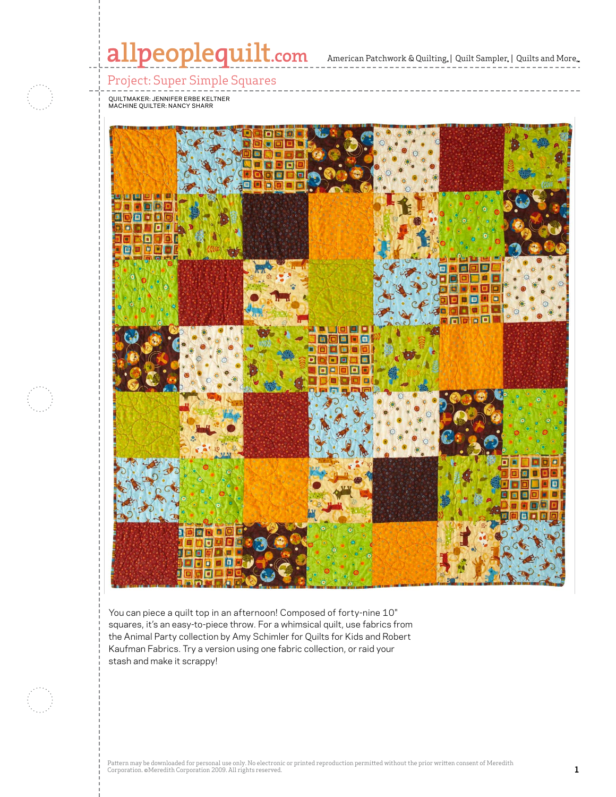# Project: Super Simple Squares



 $\mathbb{R}$  and  $\mathbb{R}$  are particular in  $\mathbb{R}$  and  $\mathbb{R}$ 

stash and make it scrappy!